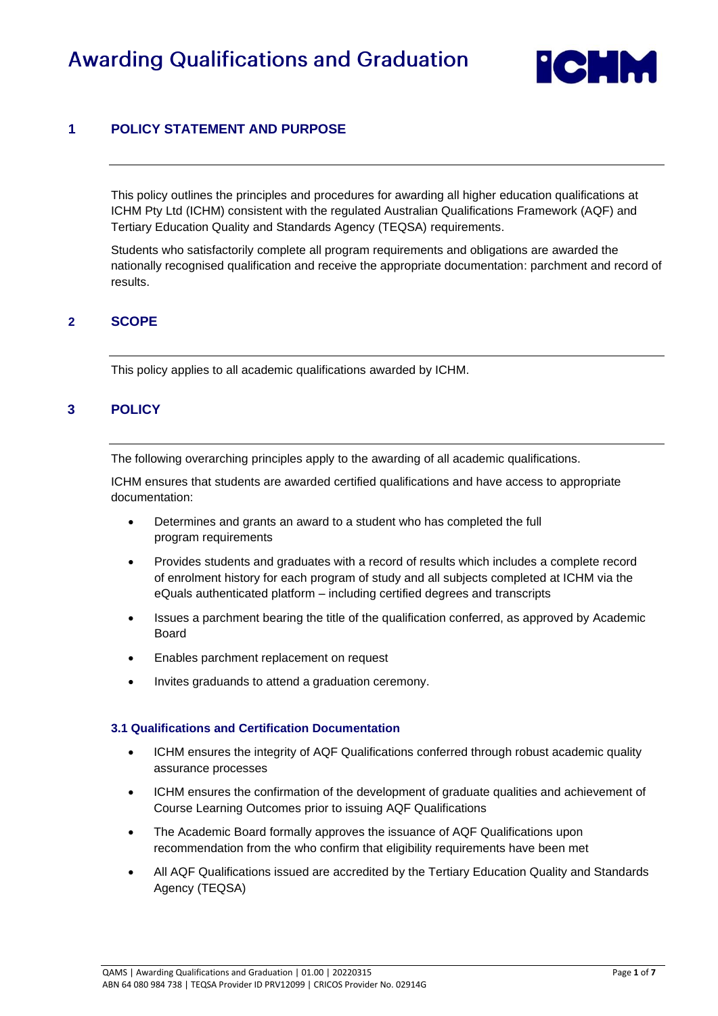# **Awarding Qualifications and Graduation**



# **1 POLICY STATEMENT AND PURPOSE**

This policy outlines the principles and procedures for awarding all higher education qualifications at ICHM Pty Ltd (ICHM) consistent with the regulated Australian Qualifications Framework (AQF) and Tertiary Education Quality and Standards Agency (TEQSA) requirements.

Students who satisfactorily complete all program requirements and obligations are awarded the nationally recognised qualification and receive the appropriate documentation: parchment and record of results.

### **2 SCOPE**

This policy applies to all academic qualifications awarded by ICHM.

# **3 POLICY**

The following overarching principles apply to the awarding of all academic qualifications.

ICHM ensures that students are awarded certified qualifications and have access to appropriate documentation:

- Determines and grants an award to a student who has completed the full program requirements
- Provides students and graduates with a record of results which includes a complete record of enrolment history for each program of study and all subjects completed at ICHM via the eQuals authenticated platform – including certified degrees and transcripts
- Issues a parchment bearing the title of the qualification conferred, as approved by Academic Board
- Enables parchment replacement on request
- Invites graduands to attend a graduation ceremony.

#### **3.1 Qualifications and Certification Documentation**

- ICHM ensures the integrity of AQF Qualifications conferred through robust academic quality assurance processes
- ICHM ensures the confirmation of the development of graduate qualities and achievement of Course Learning Outcomes prior to issuing AQF Qualifications
- The Academic Board formally approves the issuance of AQF Qualifications upon recommendation from the who confirm that eligibility requirements have been met
- All AQF Qualifications issued are accredited by the Tertiary Education Quality and Standards Agency (TEQSA)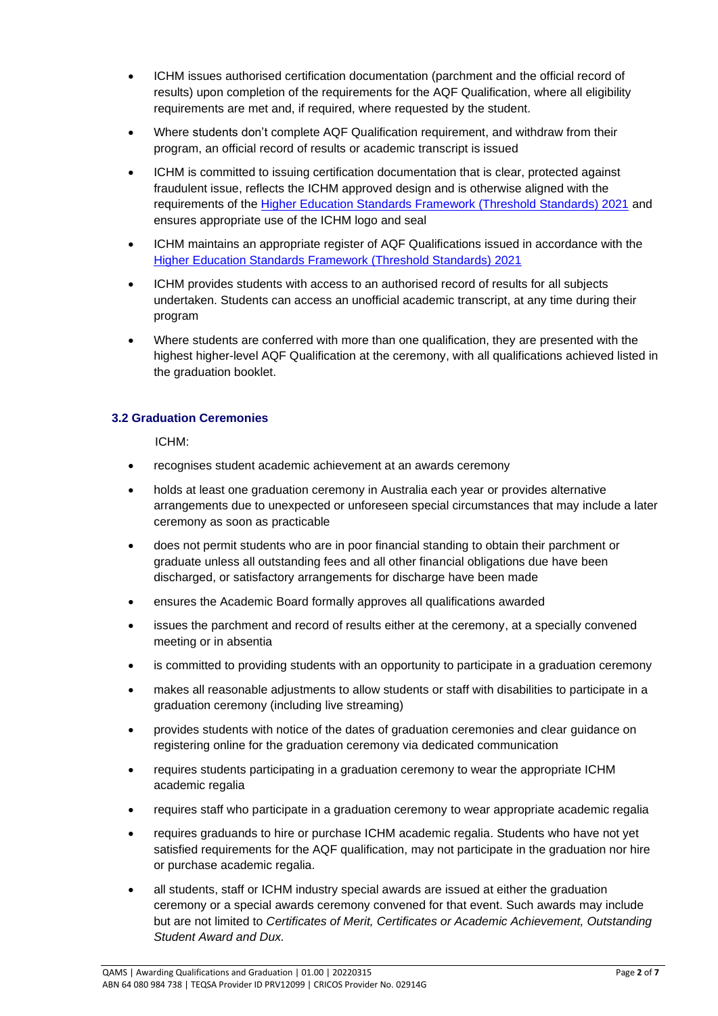- ICHM issues authorised certification documentation (parchment and the official record of results) upon completion of the requirements for the AQF Qualification, where all eligibility requirements are met and, if required, where requested by the student.
- Where students don't complete AQF Qualification requirement, and withdraw from their program, an official record of results or academic transcript is issued
- ICHM is committed to issuing certification documentation that is clear, protected against fraudulent issue, reflects the ICHM approved design and is otherwise aligned with the requirements of the [Higher Education Standards Framework \(Threshold Standards\) 2021](https://www.legislation.gov.au/Details/F2021L00488) and ensures appropriate use of the ICHM logo and seal
- ICHM maintains an appropriate register of AQF Qualifications issued in accordance with the [Higher Education Standards Framework \(Threshold Standards\) 2021](https://www.legislation.gov.au/Details/F2021L00488)
- ICHM provides students with access to an authorised record of results for all subjects undertaken. Students can access an unofficial academic transcript, at any time during their program
- Where students are conferred with more than one qualification, they are presented with the highest higher-level AQF Qualification at the ceremony, with all qualifications achieved listed in the graduation booklet.

#### **3.2 Graduation Ceremonies**

ICHM:

- recognises student academic achievement at an awards ceremony
- holds at least one graduation ceremony in Australia each year or provides alternative arrangements due to unexpected or unforeseen special circumstances that may include a later ceremony as soon as practicable
- does not permit students who are in poor financial standing to obtain their parchment or graduate unless all outstanding fees and all other financial obligations due have been discharged, or satisfactory arrangements for discharge have been made
- ensures the Academic Board formally approves all qualifications awarded
- issues the parchment and record of results either at the ceremony, at a specially convened meeting or in absentia
- is committed to providing students with an opportunity to participate in a graduation ceremony
- makes all reasonable adjustments to allow students or staff with disabilities to participate in a graduation ceremony (including live streaming)
- provides students with notice of the dates of graduation ceremonies and clear guidance on registering online for the graduation ceremony via dedicated communication
- requires students participating in a graduation ceremony to wear the appropriate ICHM academic regalia
- requires staff who participate in a graduation ceremony to wear appropriate academic regalia
- requires graduands to hire or purchase ICHM academic regalia. Students who have not yet satisfied requirements for the AQF qualification, may not participate in the graduation nor hire or purchase academic regalia.
- all students, staff or ICHM industry special awards are issued at either the graduation ceremony or a special awards ceremony convened for that event. Such awards may include but are not limited to *Certificates of Merit, Certificates or Academic Achievement, Outstanding Student Award and Dux.*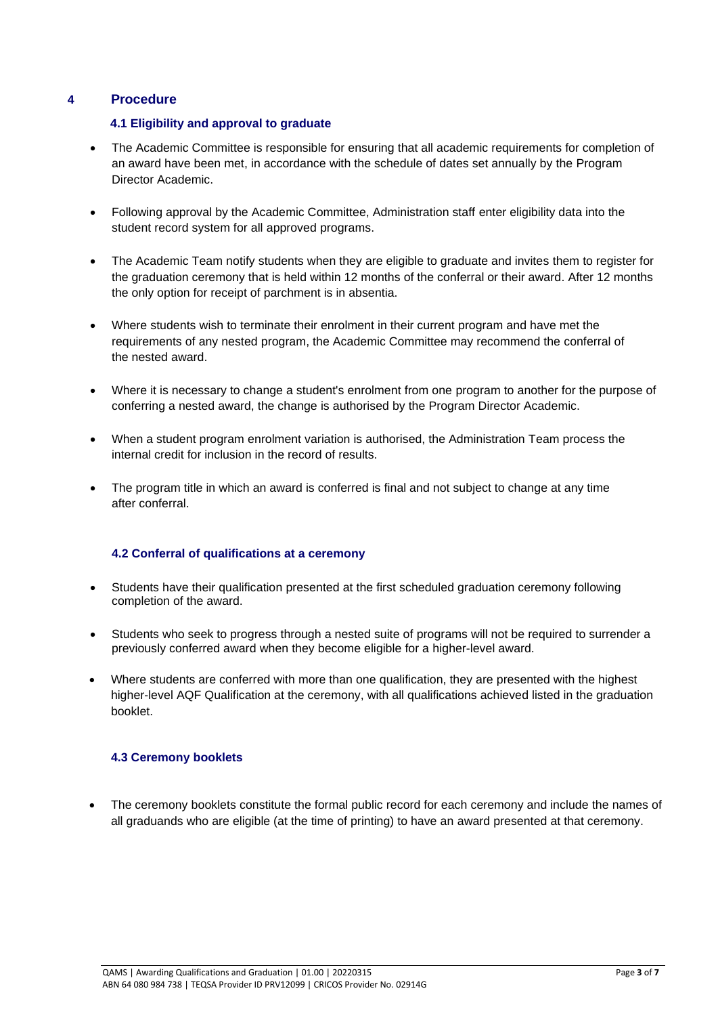#### **4 Procedure**

#### **4.1 Eligibility and approval to graduate**

- The Academic Committee is responsible for ensuring that all academic requirements for completion of an award have been met, in accordance with the schedule of dates set annually by the Program Director Academic.
- Following approval by the Academic Committee, Administration staff enter eligibility data into the student record system for all approved programs.
- The Academic Team notify students when they are eligible to graduate and invites them to register for the graduation ceremony that is held within 12 months of the conferral or their award. After 12 months the only option for receipt of parchment is in absentia.
- Where students wish to terminate their enrolment in their current program and have met the requirements of any nested program, the Academic Committee may recommend the conferral of the nested award.
- Where it is necessary to change a student's enrolment from one program to another for the purpose of conferring a nested award, the change is authorised by the Program Director Academic.
- When a student program enrolment variation is authorised, the Administration Team process the internal credit for inclusion in the record of results.
- The program title in which an award is conferred is final and not subject to change at any time after conferral.

#### **4.2 Conferral of qualifications at a ceremony**

- Students have their qualification presented at the first scheduled graduation ceremony following completion of the award.
- Students who seek to progress through a nested suite of programs will not be required to surrender a previously conferred award when they become eligible for a higher-level award.
- Where students are conferred with more than one qualification, they are presented with the highest higher-level AQF Qualification at the ceremony, with all qualifications achieved listed in the graduation booklet.

#### **4.3 Ceremony booklets**

• The ceremony booklets constitute the formal public record for each ceremony and include the names of all graduands who are eligible (at the time of printing) to have an award presented at that ceremony.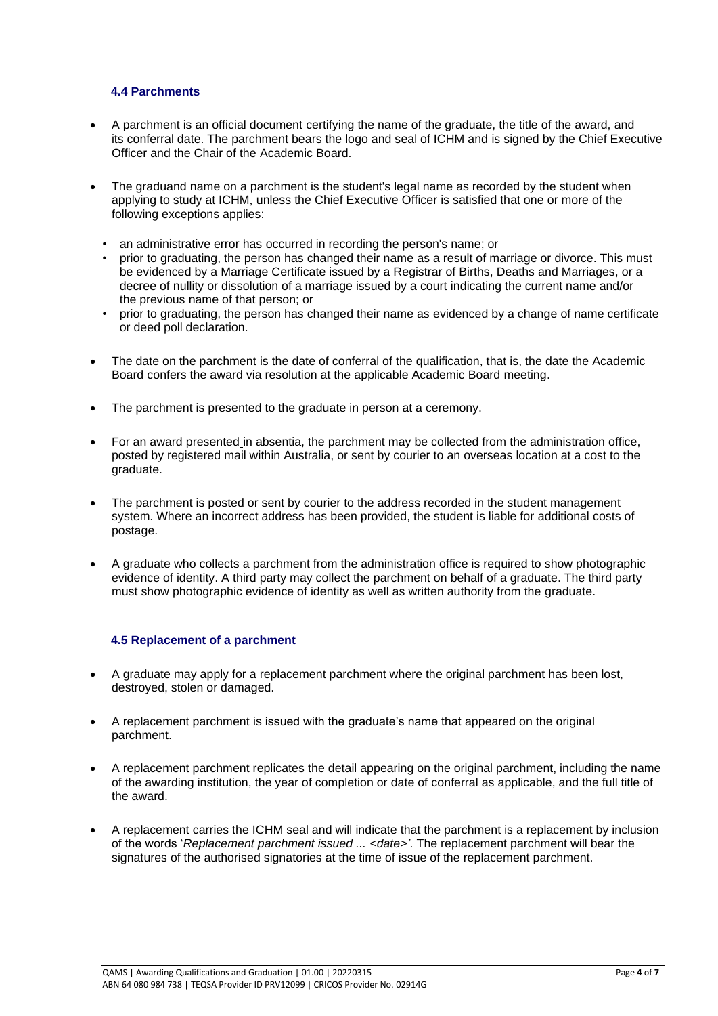#### **4.4 Parchments**

- A parchment is an official document certifying the name of the graduate, the title of the award, and its conferral date. The parchment bears the logo and seal of ICHM and is signed by the Chief Executive Officer and the Chair of the Academic Board.
- The graduand name on a parchment is the student's legal name as recorded by the student when applying to study at ICHM, unless the Chief Executive Officer is satisfied that one or more of the following exceptions applies:
	- an administrative error has occurred in recording the person's name; or
	- prior to graduating, the person has changed their name as a result of marriage or divorce. This must be evidenced by a Marriage Certificate issued by a Registrar of Births, Deaths and Marriages, or a decree of nullity or dissolution of a marriage issued by a court indicating the current name and/or the previous name of that person; or
	- prior to graduating, the person has changed their name as evidenced by a change of name certificate or deed poll declaration.
- The date on the parchment is the date of conferral of the qualification, that is, the date the Academic Board confers the award via resolution at the applicable Academic Board meeting.
- The parchment is presented to the graduate in person at a ceremony.
- For an award presented in absentia, the parchment may be collected from the administration office, posted by registered mail within Australia, or sent by courier to an overseas location at a cost to the graduate.
- The parchment is posted or sent by courier to the address recorded in the student management system. Where an incorrect address has been provided, the student is liable for additional costs of postage.
- A graduate who collects a parchment from the administration office is required to show photographic evidence of identity. A third party may collect the parchment on behalf of a graduate. The third party must show photographic evidence of identity as well as written authority from the graduate.

#### **4.5 Replacement of a parchment**

- A graduate may apply for a replacement parchment where the original parchment has been lost, destroyed, stolen or damaged.
- A replacement parchment is issued with the graduate's name that appeared on the original parchment.
- A replacement parchment replicates the detail appearing on the original parchment, including the name of the awarding institution, the year of completion or date of conferral as applicable, and the full title of the award.
- A replacement carries the ICHM seal and will indicate that the parchment is a replacement by inclusion of the words '*Replacement parchment issued ... <date>'.* The replacement parchment will bear the signatures of the authorised signatories at the time of issue of the replacement parchment.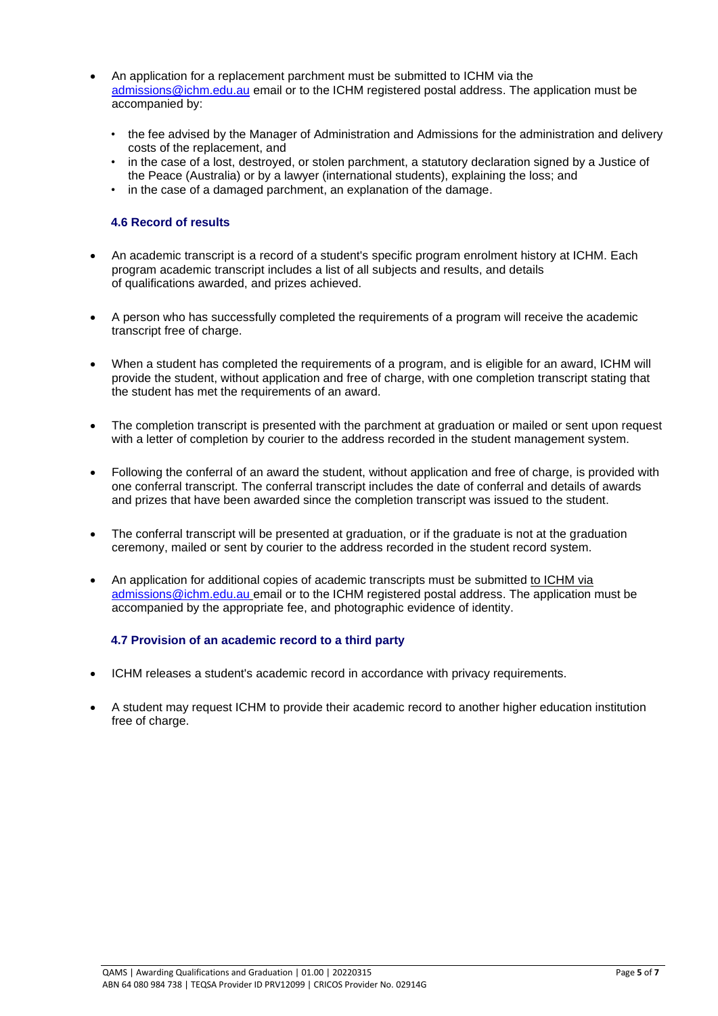- An application for a replacement parchment must be submitted to ICHM via the [admissions@ichm.edu.au](mailto:admissions@ichm.edu.au) email or to the ICHM registered postal address. The application must be accompanied by:
	- the fee advised by the Manager of Administration and Admissions for the administration and delivery costs of the replacement, and
	- in the case of a lost, destroyed, or stolen parchment, a statutory declaration signed by a Justice of the Peace (Australia) or by a lawyer (international students), explaining the loss; and
	- in the case of a damaged parchment, an explanation of the damage.

#### **4.6 Record of results**

- An academic transcript is a record of a student's specific program enrolment history at ICHM. Each program academic transcript includes a list of all subjects and results, and details of qualifications awarded, and prizes achieved.
- A person who has successfully completed the requirements of a program will receive the academic transcript free of charge.
- When a student has completed the requirements of a program, and is eligible for an award, ICHM will provide the student, without application and free of charge, with one completion transcript stating that the student has met the requirements of an award.
- The completion transcript is presented with the parchment at graduation or mailed or sent upon request with a letter of completion by courier to the address recorded in the student management system.
- Following the conferral of an award the student, without application and free of charge, is provided with one conferral transcript. The conferral transcript includes the date of conferral and details of awards and prizes that have been awarded since the completion transcript was issued to the student.
- The conferral transcript will be presented at graduation, or if the graduate is not at the graduation ceremony, mailed or sent by courier to the address recorded in the student record system.
- An application for additional copies of academic transcripts must be submitted to ICHM via [admissions@ichm.edu.au](mailto:admissions@ichm.edu.au) email or to the ICHM registered postal address. The application must be accompanied by the appropriate fee, and photographic evidence of identity.

#### **4.7 Provision of an academic record to a third party**

- ICHM releases a student's academic record in accordance with privacy requirements.
- A student may request ICHM to provide their academic record to another higher education institution free of charge.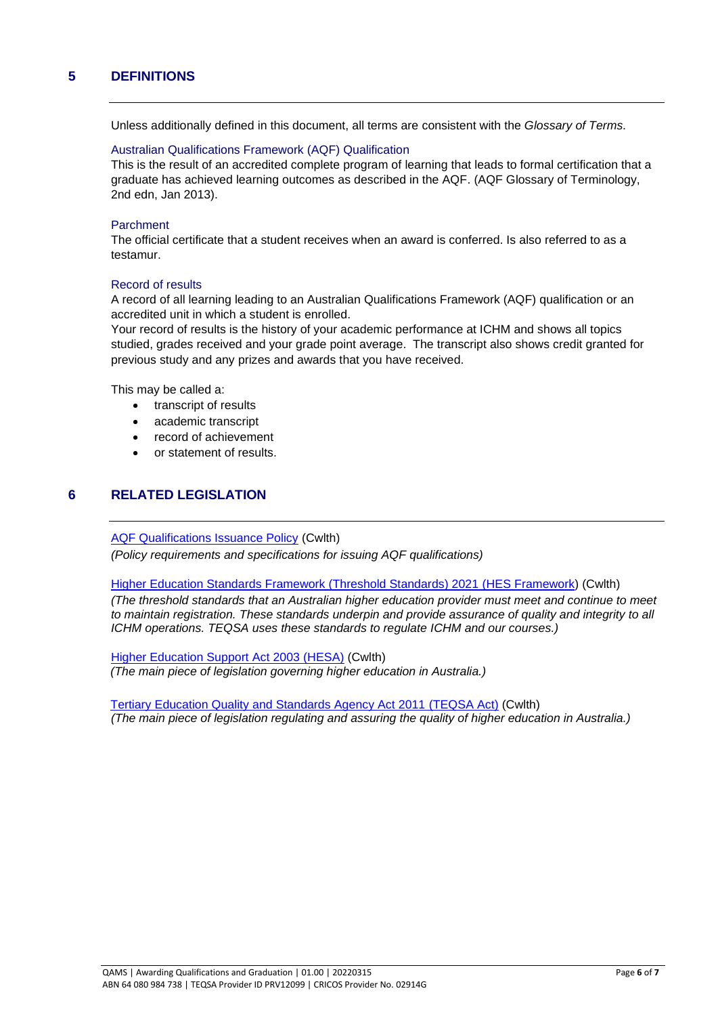### **5 DEFINITIONS**

Unless additionally defined in this document, all terms are consistent with the *Glossary of Terms.*

#### Australian Qualifications Framework (AQF) Qualification

This is the result of an accredited complete program of learning that leads to formal certification that a graduate has achieved learning outcomes as described in the AQF. (AQF Glossary of Terminology, 2nd edn, Jan 2013).

#### Parchment

The official certificate that a student receives when an award is conferred. Is also referred to as a testamur.

#### Record of results

A record of all learning leading to an Australian Qualifications Framework (AQF) qualification or an accredited unit in which a student is enrolled.

Your record of results is the history of your academic performance at ICHM and shows all topics studied, grades received and your grade point average. The transcript also shows credit granted for previous study and any prizes and awards that you have received.

This may be called a:

- transcript of results
- academic transcript
- record of achievement
- or statement of results.

#### **6 RELATED LEGISLATION**

[AQF Qualifications Issuance Policy](https://www.aqf.edu.au/sites/aqf/files/aqf_issuance_jan2013.pdf) (Cwlth)

*(Policy requirements and specifications for issuing AQF qualifications)*

#### [Higher Education Standards Framework \(Threshold Standards\) 2021](https://www.legislation.gov.au/Details/F2021L00488) (HES Framework) (Cwlth)

*(The threshold standards that an Australian higher education provider must meet and continue to meet to maintain registration. These standards underpin and provide assurance of quality and integrity to all ICHM operations. TEQSA uses these standards to regulate ICHM and our courses.)*

[Higher Education Support Act 2003](https://www.legislation.gov.au/Series/C2004A01234) (HESA) (Cwlth) *(The main piece of legislation governing higher education in Australia.)*

[Tertiary Education Quality and Standards Agency Act 2011](https://www.dese.gov.au/higher-education-loan-program/higher-education-support-act-2003-and-guidelines#toc-tertiary-education-quality-and-standards-agency-act-2011-teqsa-act-) (TEQSA Act) (Cwlth) *(The main piece of legislation regulating and assuring the quality of higher education in Australia.)*